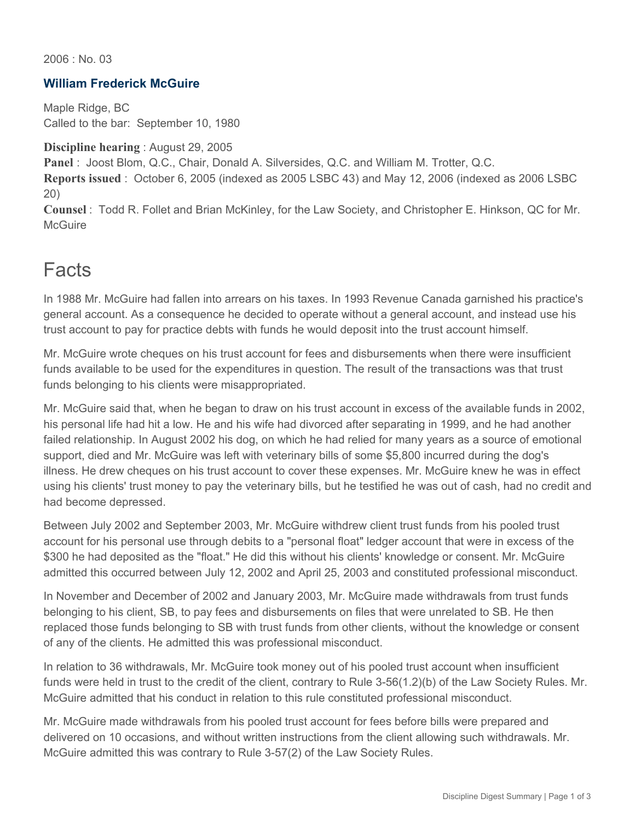2006 : No. 03

#### **William Frederick McGuire**

Maple Ridge, BC Called to the bar: September 10, 1980

**Discipline hearing** : August 29, 2005

**Panel** : Joost Blom, Q.C., Chair, Donald A. Silversides, Q.C. and William M. Trotter, Q.C.

**Reports issued** : October 6, 2005 (indexed as 2005 LSBC 43) and May 12, 2006 (indexed as 2006 LSBC 20)

**Counsel** : Todd R. Follet and Brian McKinley, for the Law Society, and Christopher E. Hinkson, QC for Mr. **McGuire** 

### Facts

In 1988 Mr. McGuire had fallen into arrears on his taxes. In 1993 Revenue Canada garnished his practice's general account. As a consequence he decided to operate without a general account, and instead use his trust account to pay for practice debts with funds he would deposit into the trust account himself.

Mr. McGuire wrote cheques on his trust account for fees and disbursements when there were insufficient funds available to be used for the expenditures in question. The result of the transactions was that trust funds belonging to his clients were misappropriated.

Mr. McGuire said that, when he began to draw on his trust account in excess of the available funds in 2002, his personal life had hit a low. He and his wife had divorced after separating in 1999, and he had another failed relationship. In August 2002 his dog, on which he had relied for many years as a source of emotional support, died and Mr. McGuire was left with veterinary bills of some \$5,800 incurred during the dog's illness. He drew cheques on his trust account to cover these expenses. Mr. McGuire knew he was in effect using his clients' trust money to pay the veterinary bills, but he testified he was out of cash, had no credit and had become depressed.

Between July 2002 and September 2003, Mr. McGuire withdrew client trust funds from his pooled trust account for his personal use through debits to a "personal float" ledger account that were in excess of the \$300 he had deposited as the "float." He did this without his clients' knowledge or consent. Mr. McGuire admitted this occurred between July 12, 2002 and April 25, 2003 and constituted professional misconduct.

In November and December of 2002 and January 2003, Mr. McGuire made withdrawals from trust funds belonging to his client, SB, to pay fees and disbursements on files that were unrelated to SB. He then replaced those funds belonging to SB with trust funds from other clients, without the knowledge or consent of any of the clients. He admitted this was professional misconduct.

In relation to 36 withdrawals, Mr. McGuire took money out of his pooled trust account when insufficient funds were held in trust to the credit of the client, contrary to Rule 3-56(1.2)(b) of the Law Society Rules. Mr. McGuire admitted that his conduct in relation to this rule constituted professional misconduct.

Mr. McGuire made withdrawals from his pooled trust account for fees before bills were prepared and delivered on 10 occasions, and without written instructions from the client allowing such withdrawals. Mr. McGuire admitted this was contrary to Rule 3-57(2) of the Law Society Rules.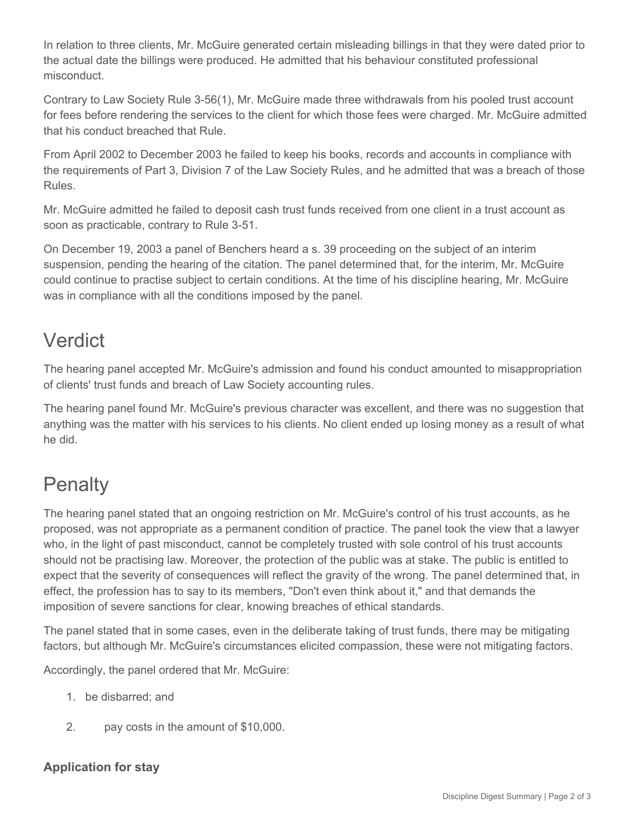In relation to three clients, Mr. McGuire generated certain misleading billings in that they were dated prior to the actual date the billings were produced. He admitted that his behaviour constituted professional misconduct.

Contrary to Law Society Rule 3-56(1), Mr. McGuire made three withdrawals from his pooled trust account for fees before rendering the services to the client for which those fees were charged. Mr. McGuire admitted that his conduct breached that Rule.

From April 2002 to December 2003 he failed to keep his books, records and accounts in compliance with the requirements of Part 3, Division 7 of the Law Society Rules, and he admitted that was a breach of those Rules.

Mr. McGuire admitted he failed to deposit cash trust funds received from one client in a trust account as soon as practicable, contrary to Rule 3-51.

On December 19, 2003 a panel of Benchers heard a s. 39 proceeding on the subject of an interim suspension, pending the hearing of the citation. The panel determined that, for the interim, Mr. McGuire could continue to practise subject to certain conditions. At the time of his discipline hearing, Mr. McGuire was in compliance with all the conditions imposed by the panel.

## Verdict

The hearing panel accepted Mr. McGuire's admission and found his conduct amounted to misappropriation of clients' trust funds and breach of Law Society accounting rules.

The hearing panel found Mr. McGuire's previous character was excellent, and there was no suggestion that anything was the matter with his services to his clients. No client ended up losing money as a result of what he did.

# **Penalty**

The hearing panel stated that an ongoing restriction on Mr. McGuire's control of his trust accounts, as he proposed, was not appropriate as a permanent condition of practice. The panel took the view that a lawyer who, in the light of past misconduct, cannot be completely trusted with sole control of his trust accounts should not be practising law. Moreover, the protection of the public was at stake. The public is entitled to expect that the severity of consequences will reflect the gravity of the wrong. The panel determined that, in effect, the profession has to say to its members, "Don't even think about it," and that demands the imposition of severe sanctions for clear, knowing breaches of ethical standards.

The panel stated that in some cases, even in the deliberate taking of trust funds, there may be mitigating factors, but although Mr. McGuire's circumstances elicited compassion, these were not mitigating factors.

Accordingly, the panel ordered that Mr. McGuire:

- 1. be disbarred; and
- 2. pay costs in the amount of \$10,000.

### **Application for stay**